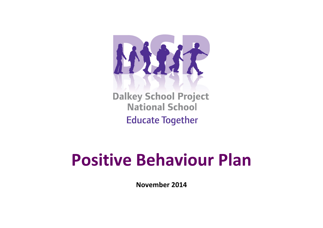

**Dalkey School Project National School Educate Together** 

## **Positive Behaviour Plan**

**November 2014**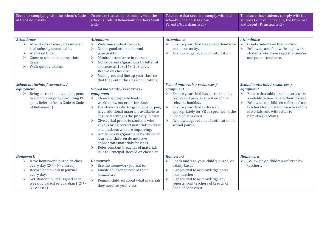| Students complying with the school's Code<br>of Behaviour will:-                                                                                                                                                                                          | To ensure that students comply with the<br>school's Code of Behaviour, teachers/staff<br>will:-                                                                                                                                                                                                                                                                                                                                                                                                                                                                                                                                                 | To ensure that students comply with the<br>school's Code of Behaviour,<br>Parents/Guardians will:-                                                                                                                                                                                                                                                                     | To ensure that students comply with the<br>school's Code of Behaviour, the Principal<br>and Deputy Principal will:-                                                                                                                                                             |
|-----------------------------------------------------------------------------------------------------------------------------------------------------------------------------------------------------------------------------------------------------------|-------------------------------------------------------------------------------------------------------------------------------------------------------------------------------------------------------------------------------------------------------------------------------------------------------------------------------------------------------------------------------------------------------------------------------------------------------------------------------------------------------------------------------------------------------------------------------------------------------------------------------------------------|------------------------------------------------------------------------------------------------------------------------------------------------------------------------------------------------------------------------------------------------------------------------------------------------------------------------------------------------------------------------|---------------------------------------------------------------------------------------------------------------------------------------------------------------------------------------------------------------------------------------------------------------------------------|
|                                                                                                                                                                                                                                                           |                                                                                                                                                                                                                                                                                                                                                                                                                                                                                                                                                                                                                                                 |                                                                                                                                                                                                                                                                                                                                                                        |                                                                                                                                                                                                                                                                                 |
| <b>Attendance</b><br>$\triangleright$ Attend school every day unless it<br>is absolutely unavoidable.<br>Arrive on time.<br>➤<br>Come to school in appropriate<br>➤<br>dress.<br>Walk quietly to class.<br>➤                                              | <b>Attendance</b><br>Welcome students to class.<br>$\blacktriangleright$<br>Notice good attendance and<br>$\blacktriangleright$<br>punctuality.<br>Monitor attendance in classes.<br>$\blacktriangleright$<br>Notify parents/guardians by letter of<br>➤<br>absences at 10+, 15+, 20+ days.<br>Record on checklist.<br>Meet, greet and line up your class so<br>$\blacktriangleright$                                                                                                                                                                                                                                                           | <b>Attendance</b><br>Ensure your child has good attendance<br>➤<br>and punctuality.<br>Acknowledge receipt of notification.<br>➤                                                                                                                                                                                                                                       | <b>Attendance</b><br>Greet students on their arrival.<br>➤<br>Follow up and follow through with<br>➤<br>students who have regular absences<br>and poor attendance.                                                                                                              |
|                                                                                                                                                                                                                                                           | that they enter the classroom calmly.                                                                                                                                                                                                                                                                                                                                                                                                                                                                                                                                                                                                           |                                                                                                                                                                                                                                                                                                                                                                        |                                                                                                                                                                                                                                                                                 |
| School materials / resources /<br>equipment<br>Bring correct books, copies, pens<br>➤<br>to school every day (including PE<br>gear. Refer to Dress Code in Code<br>of Behaviour.)                                                                         | School materials / resources /<br>equipment<br>Choose appropriate books,<br>$\blacktriangleright$<br>workbooks, materials for class.<br>For students who forget a book or pen,<br>have additional materials available to<br>ensure learning is the priority in class.<br>$\blacktriangleright$<br>Give verbal praise to students who<br>always bring correct materials to class<br>and students who are improving.<br>Notify parents/guardians by sticker in<br>journal if children do not have<br>appropriate materials for class.<br>Refer constant breaches of materials<br>$\blacktriangleright$<br>rule to Principal. Record on checklist. | School materials / resources /<br>equipment<br>Ensure your child has correct books,<br>⋗<br>copies and pens as specified in the<br>relevant booklist.<br>$\blacktriangleright$<br>Ensure your child is dressed<br>appropriately for PE as specified in the<br>Code of Behaviour.<br>$\blacktriangleright$<br>Acknowledge receipt of notification in<br>school journal. | School materials / resources /<br>equipment<br>Ensure that additional materials are<br>➤<br>available to teachers in their classes.<br>Follow up on children referred from<br>➤<br>teachers for constant breaches of the<br>materials rule with letter to<br>parents/guardians. |
| <b>Homework</b><br>Have homework journal in class<br>➤<br>every day $(2nd – 6th classes)$ .<br>Record homework in journal<br>➤<br>every day.<br>Get student journal signed each<br>➤<br>week by parent or guardian $((2nd –$<br>6 <sup>th</sup> classes). | <b>Homework</b><br>Use the homework journal to:-<br>$\blacktriangleright$<br>Enable children to record their<br>$\blacktriangleright$<br>homework.<br>Remind children about what materials<br>they need for your class.                                                                                                                                                                                                                                                                                                                                                                                                                         | <b>Homework</b><br>Check and sign your child's journal on<br>a daily basis.<br>Sign journal to acknowledge notes<br>➤<br>from teacher.<br>Sign journal to acknowledge any<br>➤<br>reports from teachers of breach of<br>Code of Behaviour.                                                                                                                             | <b>Homework</b><br>Follow up on children referred by<br>$\blacktriangleright$<br>teachers.                                                                                                                                                                                      |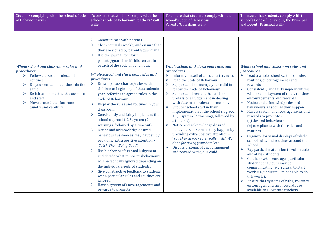| Students complying with the school's Code<br>of Behaviour will:-                                                                                                                                                                                                                | To ensure that students comply with the<br>school's Code of Behaviour, teachers/staff<br>will:-                                                                                                                                                                                                                                                                                                                                                                                                                                                                                                                                                                                                                                                                                                                                                                                                                                                                                                                                                                                                                                                              | To ensure that students comply with the<br>school's Code of Behaviour,<br>Parents/Guardians will:-                                                                                                                                                                                                                                                                                                                                                                                                                                                                                                                                                                                                                                                                                                                                                  | To ensure that students comply with the<br>school's Code of Behaviour, the Principal<br>and Deputy Principal will:-                                                                                                                                                                                                                                                                                                                                                                                                                                                                                                                                                                                                                                                                                                                                                                                                                                                                                                                                        |
|---------------------------------------------------------------------------------------------------------------------------------------------------------------------------------------------------------------------------------------------------------------------------------|--------------------------------------------------------------------------------------------------------------------------------------------------------------------------------------------------------------------------------------------------------------------------------------------------------------------------------------------------------------------------------------------------------------------------------------------------------------------------------------------------------------------------------------------------------------------------------------------------------------------------------------------------------------------------------------------------------------------------------------------------------------------------------------------------------------------------------------------------------------------------------------------------------------------------------------------------------------------------------------------------------------------------------------------------------------------------------------------------------------------------------------------------------------|-----------------------------------------------------------------------------------------------------------------------------------------------------------------------------------------------------------------------------------------------------------------------------------------------------------------------------------------------------------------------------------------------------------------------------------------------------------------------------------------------------------------------------------------------------------------------------------------------------------------------------------------------------------------------------------------------------------------------------------------------------------------------------------------------------------------------------------------------------|------------------------------------------------------------------------------------------------------------------------------------------------------------------------------------------------------------------------------------------------------------------------------------------------------------------------------------------------------------------------------------------------------------------------------------------------------------------------------------------------------------------------------------------------------------------------------------------------------------------------------------------------------------------------------------------------------------------------------------------------------------------------------------------------------------------------------------------------------------------------------------------------------------------------------------------------------------------------------------------------------------------------------------------------------------|
| <b>Whole school and classroom rules and</b><br>procedures<br>Follow classroom rules and<br>➤<br>routines.<br>Do your best and let others do the<br>➤<br>same<br>Be fair and honest with classmates<br>⋗<br>and staff<br>Move around the classroom<br>➤<br>quietly and carefully | Communicate with parents.<br>➤<br>Check journals weekly and ensure that<br>➤<br>they are signed by parents/guardians.<br>Use the journal to inform<br>$\blacktriangleright$<br>parents/guardians if children are in<br>breach of the code of behaviour.<br><b>Whole school and classroom rules and</b><br>procedures<br>Draw up class charter/rules with<br>➤<br>children at beginning of the academic<br>year, referring to agreed rules in the<br><b>Code of Behaviour</b><br>Display the rules and routines in your<br>classroom.<br>Consistently and fairly implement the<br>school's agreed 1,2,3 system (2)<br>warnings, followed by a timeout).<br>Notice and acknowledge desired<br>$\blacktriangleright$<br>behaviours as soon as they happen by<br>providing extra positive attention -<br>'Catch Them Being Good'.<br>Use his/her professional judgement<br>➤<br>and decide what minor misbehaviours<br>will be tactically ignored depending on<br>the individual needs of students.<br>Give constructive feedback to students<br>when particular rules and routines are<br>ignored.<br>Have a system of encouragements and<br>rewards to promote | <b>Whole school and classroom rules and</b><br>procedures<br>Inform yourself of class charter/rules<br>➤<br>Read the Code of Behaviour<br>➤<br>$\blacktriangleright$<br>Support and encourage your child to<br>follow the Code of Behaviour<br>Support and respect the teachers'<br>$\blacktriangleright$<br>professional judgement in dealing<br>with classroom rules and routines.<br>Support school staff in their<br>$\blacktriangleright$<br>implementation of the school's agreed<br>1,2,3 system (2 warnings, followed by<br>a timeout).<br>Notice and acknowledge desired<br>➤<br>behaviours as soon as they happen by<br>providing extra positive attention -<br>'You shared your toys really well.' 'Well<br>done for trying your best.' etc.<br>$\blacktriangleright$<br>Discuss systems of encouragement<br>and reward with your child. | <b>Whole school and classroom rules and</b><br>procedures<br>Lead a whole school system of rules,<br>➤<br>routines, encouragements and<br>rewards.<br>$\blacktriangleright$<br>Consistently and fairly implement this<br>whole school system of rules, routines,<br>encouragements and rewards.<br>Notice and acknowledge desired<br>➤<br>behaviours as soon as they happen.<br>$\blacktriangleright$<br>Have a system of encouragements and<br>rewards to promote:-<br>(a) desired behaviours<br>(b) compliance with the rules and<br>routines.<br>$\blacktriangleright$<br>Organize for visual displays of whole<br>school rules and routines around the<br>school<br>Pay particular attention to vulnerable<br>$\blacktriangleright$<br>and at risk students.<br>Consider what messages particular<br>➤<br>student behaviours may be<br>communicating (e.g. refusal to start<br>work may indicate 'I'm not able to do<br>this work').<br>Ensure that systems of rules, routines,<br>encouragements and rewards are<br>available to substitute teachers. |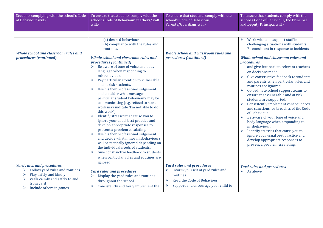| Students complying with the school's Code<br>of Behaviour will:-                                                                                                                                               | To ensure that students comply with the<br>school's Code of Behaviour, teachers/staff<br>will:-                                                                                                                                                                                                                                                                                                                                                                                                                                                                                                                                                                                                                                                                                                                                                                                                                                      | To ensure that students comply with the<br>school's Code of Behaviour,<br>Parents/Guardians will:-                                                                                   | To ensure that students comply with the<br>school's Code of Behaviour, the Principal<br>and Deputy Principal will:-                                                                                                                                                                                                                                                                                                                                                                                                                                                                                                                                                                                                                                                                                         |
|----------------------------------------------------------------------------------------------------------------------------------------------------------------------------------------------------------------|--------------------------------------------------------------------------------------------------------------------------------------------------------------------------------------------------------------------------------------------------------------------------------------------------------------------------------------------------------------------------------------------------------------------------------------------------------------------------------------------------------------------------------------------------------------------------------------------------------------------------------------------------------------------------------------------------------------------------------------------------------------------------------------------------------------------------------------------------------------------------------------------------------------------------------------|--------------------------------------------------------------------------------------------------------------------------------------------------------------------------------------|-------------------------------------------------------------------------------------------------------------------------------------------------------------------------------------------------------------------------------------------------------------------------------------------------------------------------------------------------------------------------------------------------------------------------------------------------------------------------------------------------------------------------------------------------------------------------------------------------------------------------------------------------------------------------------------------------------------------------------------------------------------------------------------------------------------|
|                                                                                                                                                                                                                |                                                                                                                                                                                                                                                                                                                                                                                                                                                                                                                                                                                                                                                                                                                                                                                                                                                                                                                                      |                                                                                                                                                                                      |                                                                                                                                                                                                                                                                                                                                                                                                                                                                                                                                                                                                                                                                                                                                                                                                             |
| <b>Whole school and classroom rules and</b><br>procedures (continued)                                                                                                                                          | (a) desired behaviour<br>(b) compliance with the rules and<br>routines.<br><b>Whole school and classroom rules and</b><br>procedures (continued)<br>Be aware of tone of voice and body<br>➤<br>language when responding to<br>misbehaviour.<br>Pay particular attention to vulnerable<br>and at risk students.<br>Use his/her professional judgement<br>and consider what messages<br>particular student behaviours may be<br>communicating (e.g. refusal to start<br>work may indicate 'I'm not able to do<br>this work').<br>Identify stresses that cause you to<br>ignore your usual best practice and<br>develop appropriate responses to<br>prevent a problem escalating.<br>Use his/her professional judgement<br>and decide what minor misbehaviours<br>will be tactically ignored depending on<br>the individual needs of students.<br>Give constructive feedback to students<br>➤<br>when particular rules and routines are | <b>Whole school and classroom rules and</b><br>procedures (continued)                                                                                                                | Work with and support staff in<br>challenging situations with students.<br>Be consistent in response to incidents<br>Whole school and classroom rules and<br>procedures<br>and give feedback to relevant teachers<br>on decisions made.<br>Give constructive feedback to students<br>and parents when particular rules and<br>routines are ignored.<br>Co-ordinate school support teams to<br>ensure that vulnerable and at risk<br>students are supported.<br>Consistently implement consequences<br>and sanctions for breaches of the Code<br>of Behaviour.<br>Be aware of your tone of voice and<br>body language when responding to<br>misbehaviour.<br>Identify stresses that cause you to<br>ignore your usual best practice and<br>develop appropriate responses to<br>prevent a problem escalating. |
| <b>Yard rules and procedures</b><br>Follow yard rules and routines.<br>➤<br>Play safely and kindly<br>$\blacktriangleright$<br>Walk calmly and safely to and<br>➤<br>from yard<br>Include others in games<br>➤ | ignored.<br><b>Yard rules and procedures</b><br>Display the yard rules and routines<br>$\blacktriangleright$<br>throughout the school.<br>Consistently and fairly implement the<br>➤                                                                                                                                                                                                                                                                                                                                                                                                                                                                                                                                                                                                                                                                                                                                                 | <b>Yard rules and procedures</b><br>Inform yourself of yard rules and<br>routines<br>Read the Code of Behaviour<br>$\blacktriangleright$<br>➤<br>Support and encourage your child to | <b>Yard rules and procedures</b><br>$\triangleright$ As above                                                                                                                                                                                                                                                                                                                                                                                                                                                                                                                                                                                                                                                                                                                                               |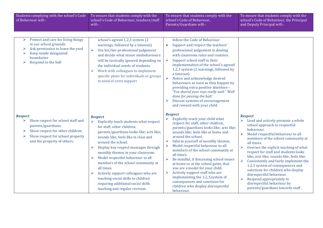| Students complying with the school's Code<br>of Behaviour will:-                                                                                                                                | To ensure that students comply with the<br>school's Code of Behaviour, teachers/staff<br>will:-                                                                                                                                                                                                                                                                                                                                                                                                                                                 | To ensure that students comply with the<br>school's Code of Behaviour,<br>Parents/Guardians will:-                                                                                                                                                                                                                                                                                                                                                                                                                                                                                                                                                                              | To ensure that students comply with the<br>school's Code of Behaviour, the Principal<br>and Deputy Principal will:-                                                                                                                                                                                                                                                                                                                                                                                                                                                                                            |
|-------------------------------------------------------------------------------------------------------------------------------------------------------------------------------------------------|-------------------------------------------------------------------------------------------------------------------------------------------------------------------------------------------------------------------------------------------------------------------------------------------------------------------------------------------------------------------------------------------------------------------------------------------------------------------------------------------------------------------------------------------------|---------------------------------------------------------------------------------------------------------------------------------------------------------------------------------------------------------------------------------------------------------------------------------------------------------------------------------------------------------------------------------------------------------------------------------------------------------------------------------------------------------------------------------------------------------------------------------------------------------------------------------------------------------------------------------|----------------------------------------------------------------------------------------------------------------------------------------------------------------------------------------------------------------------------------------------------------------------------------------------------------------------------------------------------------------------------------------------------------------------------------------------------------------------------------------------------------------------------------------------------------------------------------------------------------------|
| Protect and care for living things<br>➤<br>in our school grounds<br>Ask permission to leave the yard<br>⋗<br>Keep inside designated<br>➤<br>boundaries<br>Respond to the bell                   | school's agreed 1,2,3 system (2)<br>warnings, followed by a timeout).<br>$\blacktriangleright$<br>Use his/her professional judgement<br>and decide what minor misbehaviours<br>will be tactically ignored depending on<br>the individual needs of students.<br>Work with colleagues to implement<br>➤<br>specific plans for individuals or groups<br>in need of extra support                                                                                                                                                                   | follow the Code of Behaviour<br>Support and respect the teachers'<br>➤<br>professional judgement in dealing<br>with classroom rules and routines.<br>$\blacktriangleright$<br>Support school staff in their<br>implementation of the school's agreed<br>1,2,3 system (2 warnings, followed by<br>a timeout).<br>$\blacktriangleright$<br>Notice and acknowledge desired<br>behaviours as soon as they happen by<br>providing extra positive attention -<br>'You shared your toys really well.' 'Well<br>done for passing the ball.'<br>Discuss systems of encouragement<br>➤<br>and reward with your child.                                                                     |                                                                                                                                                                                                                                                                                                                                                                                                                                                                                                                                                                                                                |
| <b>Respect</b><br>Show respect for school staff and<br>➤<br>parents/guardians.<br>Show respect for other children.<br>➤<br>Show respect for school property<br>➤<br>and the property of others. | <b>Respect</b><br>Explicitly teach students what respect<br>➤<br>for staff, other children,<br>parents/guardians looks like; acts like;<br>sounds like; feels like in class and<br>around the school.<br>Display key respect messages through<br>➤<br>monthly themes in your classroom.<br>Model respectful behaviour to all<br>➤<br>members of the school community at<br>all times.<br>Actively support colleagues who are<br>➤<br>teaching social skills to children<br>requiring additional social skills<br>teaching and regular revision. | <b>Respect</b><br>Explicitly teach your child what<br>respect for staff, other children,<br>parents/guardians looks like; acts like;<br>sounds like; feels like at home and<br>around the school.<br>Inform yourself of monthly themes.<br>➤<br>Model respectful behaviour to all<br>➤<br>members of the school community at<br>all times.<br>$\blacktriangleright$<br>Be mindful, if discussing school issues<br>at home or at the school gates, that<br>you are a model for your child.<br>Actively support staff who are<br>$\blacktriangleright$<br>implementing the 1,2,3, system of<br>consequences and sanctions for<br>children who display disrespectful<br>behaviour. | <b>Respect</b><br>Lead and actively promote a whole<br>⋗<br>school approach to respectful<br>behaviour.<br>Model respectful behaviour to all<br>➤<br>members of the school community at<br>all times.<br>Oversee the explicit teaching of what<br>respect for staff and students looks<br>like; acts like; sounds like; feels like.<br>$\blacktriangleright$<br>Consistently and fairly implement the<br>1,2,3 system of consequences and<br>sanctions for children who display<br>disrespectful behaviour.<br>Respond appropriately to<br>➤<br>disrespectful behaviour by<br>parents/guardians towards staff. |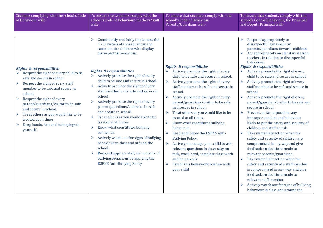| Consistently and fairly implement the<br>Respond appropriately to<br>1,2,3 system of consequences and<br>disrespectful behaviour by<br>sanctions for children who display<br>disrespectful behaviour.<br>behaviour.<br><b>Rights &amp; responsibilities</b><br><b>Rights &amp; responsibilities</b><br><b>Rights &amp; responsibilities</b><br><b>Rights &amp; responsibilities</b><br>Actively promote the right of every<br>Respect the right of every child to be<br>Actively promote the right of every<br>➤<br>child to be safe and secure in school.<br>safe and secure in school.<br>child to be safe and secure in school.<br>Actively promote the right of every<br>$\blacktriangleright$<br>$\blacktriangleright$<br>Respect the right of every staff<br>$\blacktriangleright$<br>Actively promote the right of every<br>➤<br>staff member to be safe and secure in<br>member to be safe and secure in<br>staff member to be safe and secure in<br>school.<br>school.<br>school.<br>school.<br>Actively promote the right of every<br>$\blacktriangleright$<br>Actively promote the right of every<br>➤<br>Respect the right of every<br>Actively promote the right of every<br>$\blacktriangleright$<br>parent/guardians/visitor to be safe<br>parent/guardians/visitor to be safe<br>parent/guardians/visitor to be safe<br>and secure in school.<br>secure in school.<br>and secure in school.<br>and secure in school.<br>Treat others as you would like to be<br>Prevent, as far as possible, any<br>$\blacktriangleright$<br>$\blacktriangleright$<br>Treat others as you would like to be<br>$\blacktriangleright$<br>Treat others as you would like to be<br>treated at all times.<br>improper conduct and behaviour<br>treated at all times.<br>treated at all times.<br>$\blacktriangleright$<br>Know what constitutes bullying<br>Keep hands, feet and belongings to<br>$\blacktriangleright$<br>Know what constitutes bullying<br>children and staff at risk.<br>behaviour.<br>yourself.<br>behaviour.<br>Take immediate action when the<br>$\blacktriangleright$<br>Read and follow the DSPNS Anti-<br>$\blacktriangleright$<br>Actively watch out for signs of bullying<br>$\blacktriangleright$<br><b>Bullying Policy.</b><br>safety and security of children are<br>behaviour in class and around the<br>Actively encourage your child to ask<br>compromised in any way and give<br>$\blacktriangleright$<br>school.<br>feedback on decisions made to<br>relevant questions in class, stay on<br>Respond appropriately to incidents of<br>➤<br>task, work hard, complete class work<br>relevant parents/guardians.<br>bullying behaviour by applying the<br>Take immediate action when the<br>and homework.<br>$\blacktriangleright$<br><b>DSPNS Anti-Bullying Policy</b><br>Establish a homework routine with<br>$\blacktriangleright$ | Students complying with the school's Code<br>of Behaviour will:- | To ensure that students comply with the<br>school's Code of Behaviour, teachers/staff<br>will:- | To ensure that students comply with the<br>school's Code of Behaviour,<br>Parents/Guardians will:- | To ensure that students comply with the<br>school's Code of Behaviour, the Principal<br>and Deputy Principal will:-                                                                                                                                                                                                                                                                                                                                                                                       |
|-------------------------------------------------------------------------------------------------------------------------------------------------------------------------------------------------------------------------------------------------------------------------------------------------------------------------------------------------------------------------------------------------------------------------------------------------------------------------------------------------------------------------------------------------------------------------------------------------------------------------------------------------------------------------------------------------------------------------------------------------------------------------------------------------------------------------------------------------------------------------------------------------------------------------------------------------------------------------------------------------------------------------------------------------------------------------------------------------------------------------------------------------------------------------------------------------------------------------------------------------------------------------------------------------------------------------------------------------------------------------------------------------------------------------------------------------------------------------------------------------------------------------------------------------------------------------------------------------------------------------------------------------------------------------------------------------------------------------------------------------------------------------------------------------------------------------------------------------------------------------------------------------------------------------------------------------------------------------------------------------------------------------------------------------------------------------------------------------------------------------------------------------------------------------------------------------------------------------------------------------------------------------------------------------------------------------------------------------------------------------------------------------------------------------------------------------------------------------------------------------------------------------------------------------------------------------------------------------------------------------------------------------------------------------------------------------------------------------------------------------------------------------------------------------------------------------------------------------------------------|------------------------------------------------------------------|-------------------------------------------------------------------------------------------------|----------------------------------------------------------------------------------------------------|-----------------------------------------------------------------------------------------------------------------------------------------------------------------------------------------------------------------------------------------------------------------------------------------------------------------------------------------------------------------------------------------------------------------------------------------------------------------------------------------------------------|
| your child<br>feedback on decisions made to<br>relevant staff member.<br>behaviour in class and around the                                                                                                                                                                                                                                                                                                                                                                                                                                                                                                                                                                                                                                                                                                                                                                                                                                                                                                                                                                                                                                                                                                                                                                                                                                                                                                                                                                                                                                                                                                                                                                                                                                                                                                                                                                                                                                                                                                                                                                                                                                                                                                                                                                                                                                                                                                                                                                                                                                                                                                                                                                                                                                                                                                                                                        |                                                                  |                                                                                                 |                                                                                                    | parents/guardians towards children.<br>Act appropriately on all referrals from<br>teachers in relation to disrespectful<br>Actively promote the right of every<br>child to be safe and secure in school.<br>Actively promote the right of every<br>staff member to be safe and secure in<br>parent/guardian/visitor to be safe and<br>likely to put the safety and security of<br>safety and security of a staff member<br>is compromised in any way and give<br>Actively watch out for signs of bullying |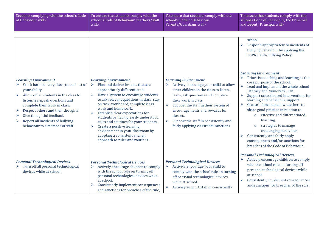| Students complying with the school's Code<br>of Behaviour will:-                                                                                                                                                                                                                                                                                             | To ensure that students comply with the<br>school's Code of Behaviour, teachers/staff<br>will:-                                                                                                                                                                                                                                                                                                                                                                                                                                                      | To ensure that students comply with the<br>school's Code of Behaviour,<br>Parents/Guardians will:-                                                                                                                                                                                                                                                                                                         | To ensure that students comply with the<br>school's Code of Behaviour, the Principal<br>and Deputy Principal will:-                                                                                                                                                                                                                                                                                                                                                                                                                                                                                                                                                                                                                                                                  |
|--------------------------------------------------------------------------------------------------------------------------------------------------------------------------------------------------------------------------------------------------------------------------------------------------------------------------------------------------------------|------------------------------------------------------------------------------------------------------------------------------------------------------------------------------------------------------------------------------------------------------------------------------------------------------------------------------------------------------------------------------------------------------------------------------------------------------------------------------------------------------------------------------------------------------|------------------------------------------------------------------------------------------------------------------------------------------------------------------------------------------------------------------------------------------------------------------------------------------------------------------------------------------------------------------------------------------------------------|--------------------------------------------------------------------------------------------------------------------------------------------------------------------------------------------------------------------------------------------------------------------------------------------------------------------------------------------------------------------------------------------------------------------------------------------------------------------------------------------------------------------------------------------------------------------------------------------------------------------------------------------------------------------------------------------------------------------------------------------------------------------------------------|
| <b>Learning Environment</b><br>Work hard in every class, to the best of<br>your ability.<br>Allow other students in the class to<br>➤<br>listen, learn, ask questions and<br>complete their work in class.<br>Respect others and their thoughts<br>➤<br>Give thoughtful feedback<br>Report all incidents of bullying<br>➤<br>behaviour to a member of staff. | <b>Learning Environment</b><br>Plan and deliver lessons that are<br>➤<br>appropriately differentiated.<br>Have a system to encourage students<br>➤<br>to ask relevant questions in class, stay<br>on task, work hard, complete class<br>work and homework.<br>Establish clear expectations for<br>$\blacktriangleright$<br>students by having easily understood<br>rules and routines for your students.<br>Create a positive learning<br>➤<br>environment in your classroom by<br>adopting a consistent and fair<br>approach to rules and routines. | <b>Learning Environment</b><br>Actively encourage your child to allow<br>➤<br>other children in the class to listen,<br>learn, ask questions and complete<br>their work in class.<br>$\blacktriangleright$<br>Support the staff in their system of<br>encouragements and rewards for<br>classes.<br>Support the staff in consistently and<br>$\blacktriangleright$<br>fairly applying classroom sanctions. | school.<br>Respond appropriately to incidents of<br>bullying behaviour by applying the<br><b>DSPNS Anti-Bullying Policy.</b><br><b>Learning Environment</b><br>Prioritise teaching and learning as the<br>core purpose of the school.<br>$\blacktriangleright$<br>Lead and implement the whole school<br>Literacy and Numeracy Plan.<br>Support school based interventions for<br>$\blacktriangleright$<br>learning and behaviour support.<br>Create a forum to allow teachers to<br>$\blacktriangleright$<br>share good practice in relation to<br>effective and differentiated<br>$\circ$<br>teaching<br>strategies to manage<br>$\circ$<br>challenging behaviour<br>Consistently and fairly apply<br>➤<br>consequences and/or sanctions for<br>breaches of the Code of Behaviour. |
| <b>Personal Technological Devices</b><br>Turn off all personal technological<br>devices while at school.                                                                                                                                                                                                                                                     | <b>Personal Technological Devices</b><br>Actively encourage children to comply<br>with the school rule on turning off<br>personal technological devices while<br>at school.<br>Consistently implement consequences<br>and sanctions for breaches of the rule,                                                                                                                                                                                                                                                                                        | <b>Personal Technological Devices</b><br>Actively encourage your child to<br>➤<br>comply with the school rule on turning<br>off personal technological devices<br>while at school.<br>$\blacktriangleright$<br>Actively support staff in consistently                                                                                                                                                      | <b>Personal Technological Devices</b><br>Actively encourage children to comply<br>with the school rule on turning off<br>personal technological devices while<br>at school.<br>Consistently implement consequences<br>➤<br>and sanctions for breaches of the rule,                                                                                                                                                                                                                                                                                                                                                                                                                                                                                                                   |